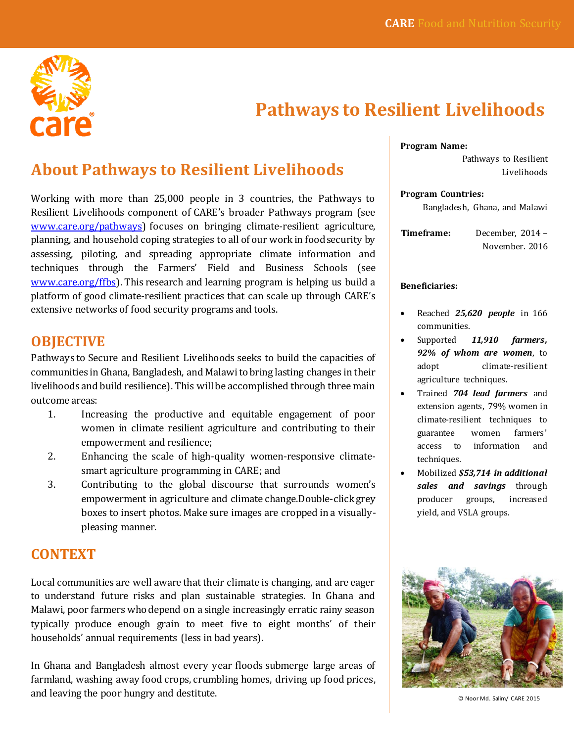

# **Pathways to Resilient Livelihoods**

## **About Pathways to Resilient Livelihoods**

Working with more than 25,000 people in 3 countries, the Pathways to Resilient Livelihoods component of CARE's broader Pathways program (see [www.care.org/pathways\)](http://www.care.org/pathways) focuses on bringing climate-resilient agriculture, planning, and household coping strategies to all of our work in food security by assessing, piloting, and spreading appropriate climate information and techniques through the Farmers' Field and Business Schools (see [www.care.org/ffbs\)](http://www.care.org/ffbs). This research and learning program is helping us build a platform of good climate-resilient practices that can scale up through CARE's extensive networks of food security programs and tools.

#### **OBJECTIVE**

Pathways to Secure and Resilient Livelihoods seeks to build the capacities of communities in Ghana, Bangladesh, and Malawi to bring lasting changes in their livelihoods and build resilience). This will be accomplished through three main outcome areas:

- 1. Increasing the productive and equitable engagement of poor women in climate resilient agriculture and contributing to their empowerment and resilience;
- 2. Enhancing the scale of high-quality women-responsive climatesmart agriculture programming in CARE; and
- 3. Contributing to the global discourse that surrounds women's empowerment in agriculture and climate change.Double-click grey boxes to insert photos. Make sure images are cropped in a visuallypleasing manner.

#### **CONTEXT**

Local communities are well aware that their climate is changing, and are eager to understand future risks and plan sustainable strategies. In Ghana and Malawi, poor farmers who depend on a single increasingly erratic rainy season typically produce enough grain to meet five to eight months' of their households' annual requirements (less in bad years).

In Ghana and Bangladesh almost every year floods submerge large areas of farmland, washing away food crops, crumbling homes, driving up food prices, and leaving the poor hungry and destitute.

**Program Name:**

Pathways to Resilient Livelihoods

**Program Countries:**

Bangladesh, Ghana, and Malawi

**Timeframe:** December, 2014 – November. 2016

#### **Beneficiaries:**

- Reached *25,620 people* in 166 communities.
- Supported *11,910 farmers, 92% of whom are women*, to adopt climate-resilient agriculture techniques.
- Trained *704 lead farmers* and extension agents, 79% women in climate-resilient techniques to guarantee women farmers' access to information and techniques.
- Mobilized *\$53,714 in additional sales and savings* through producer groups, increased yield, and VSLA groups.



© Noor Md. Salim/ CARE 2015